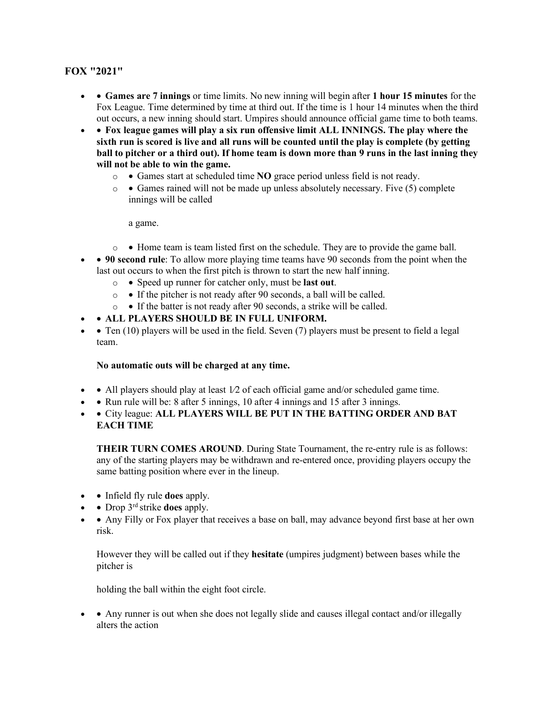## **FOX "2021"**

- • **Games are 7 innings** or time limits. No new inning will begin after **1 hour 15 minutes** for the Fox League. Time determined by time at third out. If the time is 1 hour 14 minutes when the third out occurs, a new inning should start. Umpires should announce official game time to both teams.
- • **Fox league games will play a six run offensive limit ALL INNINGS. The play where the sixth run is scored is live and all runs will be counted until the play is complete (by getting ball to pitcher or a third out). If home team is down more than 9 runs in the last inning they will not be able to win the game.** 
	- o Games start at scheduled time **NO** grace period unless field is not ready.
	- $\circ$  Games rained will not be made up unless absolutely necessary. Five (5) complete innings will be called

a game.

- $\circ \bullet$  Home team is team listed first on the schedule. They are to provide the game ball.
- **90 second rule**: To allow more playing time teams have 90 seconds from the point when the last out occurs to when the first pitch is thrown to start the new half inning.
	- o Speed up runner for catcher only, must be **last out**.
	- o If the pitcher is not ready after 90 seconds, a ball will be called.
	- o If the batter is not ready after 90 seconds, a strike will be called.
- • **ALL PLAYERS SHOULD BE IN FULL UNIFORM.**
- • Ten  $(10)$  players will be used in the field. Seven  $(7)$  players must be present to field a legal team.

## **No automatic outs will be charged at any time.**

- All players should play at least  $1/2$  of each official game and/or scheduled game time.
- • Run rule will be: 8 after 5 innings, 10 after 4 innings and 15 after 3 innings.
- • City league: **ALL PLAYERS WILL BE PUT IN THE BATTING ORDER AND BAT EACH TIME**

**THEIR TURN COMES AROUND**. During State Tournament, the re-entry rule is as follows: any of the starting players may be withdrawn and re-entered once, providing players occupy the same batting position where ever in the lineup.

- • Infield fly rule **does** apply.
- • Drop 3<sup>rd</sup> strike **does** apply.
- • Any Filly or Fox player that receives a base on ball, may advance beyond first base at her own risk.

However they will be called out if they **hesitate** (umpires judgment) between bases while the pitcher is

holding the ball within the eight foot circle.

• Any runner is out when she does not legally slide and causes illegal contact and/or illegally alters the action